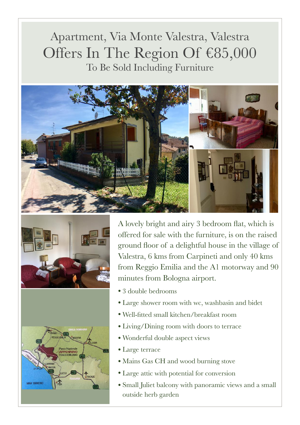## Apartment, Via Monte Valestra, Valestra Offers In The Region Of €85,000 To Be Sold Including Furniture







A lovely bright and airy 3 bedroom flat, which is offered for sale with the furniture, is on the raised ground floor of a delightful house in the village of Valestra, 6 kms from Carpineti and only 40 kms from Reggio Emilia and the A1 motorway and 90 minutes from Bologna airport.

- 3 double bedrooms
- Large shower room with wc, washbasin and bidet
- Well-fitted small kitchen/breakfast room
- Living/Dining room with doors to terrace
- Wonderful double aspect views
- Large terrace
- Mains Gas CH and wood burning stove
- Large attic with potential for conversion
- Small Juliet balcony with panoramic views and a small outside herb garden